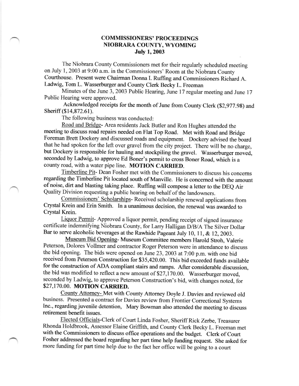## COMMISSIONERS' PROCEEDINGS NIOBRARA COUNTY, WYOMING July 1.2003

The Niobrara County Commissioners met for their regularly scheduled meeting on July 1, 2003 at 9:00 a.m. in the Commissioners' Room at the Niobrara County courthouse. Present were chairman Donna I. Ruffrng and commissioners Richard A. Ladwig, Tom L. Wasserburger and County Clerk Becky L. Freeman

Minutes of the June 3, 2003 Public Hearing, June 17 regular meeting and June <sup>17</sup> Public Hearing were approved.

Acknowledged receipts for the month of June from County Clerk (\$2,977.9g) and Sheriff (\$14,872.61).

The following business was conducted:

Road and Bridge- Area residents Jack Butler and Ron Hughes attended the meeting to discuss road repairs needed on Flat Top Road. Met with Road and Bridge Foreman Brett Dockery and discussed roads and equipment. Dockery advised the board that he had spoken for the left over gravel from the city project. There will be no charge, but Dockery is responsible for hauling and stockpiling the gravel. Wasserburger moved, seconded by ladwig, to approve Fd Boner's permit to cross Boner Road, which is a county road, with a water pipe line. MOTION CARRIED.

Timberline Pit- Dean Fosher met with the commissioners to discuss his concems regarding the Timberline Pit located south of Manville. He is concemed with the amount of noise, dirt and blasting taking place. Ruffing will compose a letter to the DEQ Air Quality Division requesting a public hearing on behalf of the landowners.

Commissioners' Scholarships- Received scholarship renewal applications from crystal Krein and Erin smith. In a unanimous decision, the renewal was awarded to Crystal Krein.

Liquor Permit- Approved a liquor permit, pending receipt of signed insurance certificate indemnifying Niobrara County, for Larry Halligan D/B/A The Silver Dollar Bar to serve alcoholic beverages at the Rawhide Pageant July 10, 11, & 12, 2003.

Museum Bid Opening- Museum Committee members Harold Stroh, Valerie Peterson, Dolores vollmer and contractor Roger peterson were in attendance to discuss the bid opening. The bids were opened on June 23, 2003 at 7:00 p.m. with one bid received from Peterson Construction for \$35,420.00. This bid exceeded funds available for the construction of ADA compliant stairs and ramps. After considerable discussion, the bid was modified to reflect a new amount of \$27,170.00. Wasserburger moved, seconded by Ladwig, to approve Peterson Construction's bid, with changes noted, for \$27,170.00. MOTION CARRIED.

Countv Attomey- Met with County Attomey Doyle J. Davies and reviewed old business. Presented a contract for Davies review from Frontier Correctional Systems Inc., regarding juvenile detention, Mary Bowman also attended the meeting to discuss retirement benefit issues.

Elected Officials-Clerk of Court Linda Fosher, Sheriff Rick Zerbe, Treasurer Rhonda Holdbrook, Assessor Elaine Griffith, and County Clerk Becky L. Freeman met with the Commissioners to discuss office operations and the budget. Clerk of Court Fosher addressed the board regarding her part time help funding request. She asked for more funding for part time help due to the fact her office will be going to a court